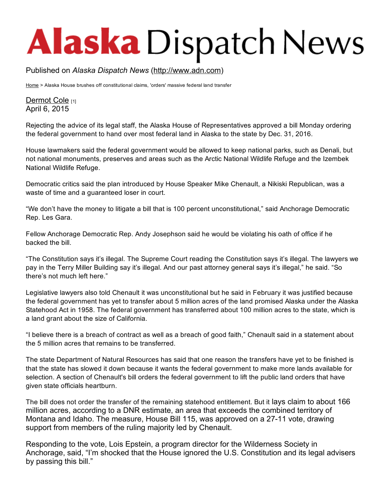## **Alaska** Dispatch News

Published on *Alaska Dispatch News* ([http://www.adn.com](http://www.adn.com/))

[Home](http://www.adn.com/) > Alaska House brushes off constitutional claims, 'orders' massive federal land transfer

[Dermot](http://www.adn.com/author/dermot-cole) Cole [1] April 6, 2015

Rejecting the advice of its legal staff, the Alaska House of Representatives approved a bill Monday ordering the federal government to hand over most federal land in Alaska to the state by Dec. 31, 2016.

House lawmakers said the federal government would be allowed to keep national parks, such as Denali, but not national monuments, preserves and areas such as the Arctic National Wildlife Refuge and the Izembek National Wildlife Refuge.

Democratic critics said the plan introduced by House Speaker Mike Chenault, a Nikiski Republican, was a waste of time and a guaranteed loser in court.

"We don't have the money to litigate a bill that is 100 percent unconstitutional," said Anchorage Democratic Rep. Les Gara.

Fellow Anchorage Democratic Rep. Andy Josephson said he would be violating his oath of office if he backed the bill.

"The Constitution says it's illegal. The Supreme Court reading the Constitution says it's illegal. The lawyers we pay in the Terry Miller Building say it's illegal. And our past attorney general says it's illegal," he said. "So there's not much left here."

Legislative lawyers also told Chenault it was unconstitutional but he said in February it was justified because the federal government has yet to transfer about 5 million acres of the land promised Alaska under the Alaska Statehood Act in 1958. The federal government has transferred about 100 million acres to the state, which is a land grant about the size of California.

"I believe there is a breach of contract as well as a breach of good faith," Chenault said in a statement about the 5 million acres that remains to be transferred.

The state Department of Natural Resources has said that one reason the transfers have yet to be finished is that the state has slowed it down because it wants the federal government to make more lands available for selection. A section of Chenault's bill orders the federal government to lift the public land orders that have given state officials heartburn.

The bill does not order the transfer of the remaining statehood entitlement. But it lays claim to about 166 million acres, according to a DNR estimate, an area that exceeds the combined territory of Montana and Idaho. The measure, House Bill 115, was approved on a 27-11 vote, drawing support from members of the ruling majority led by Chenault.

Responding to the vote, Lois Epstein, a program director for the Wilderness Society in Anchorage, said, "I'm shocked that the House ignored the U.S. Constitution and its legal advisers by passing this bill."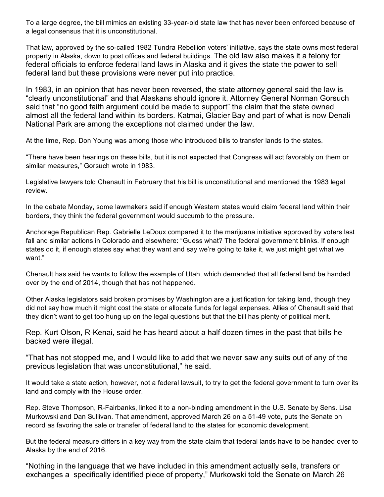To a large degree, the bill mimics an existing 33-year-old state law that has never been enforced because of a legal consensus that it is unconstitutional.

That law, approved by the so-called 1982 Tundra Rebellion voters' initiative, says the state owns most federal property in Alaska, down to post offices and federal buildings. The old law also makes it a felony for federal officials to enforce federal land laws in Alaska and it gives the state the power to sell federal land but these provisions were never put into practice.

In 1983, in an opinion that has never been reversed, the state attorney general said the law is "clearly unconstitutional" and that Alaskans should ignore it. Attorney General Norman Gorsuch said that "no good faith argument could be made to support" the claim that the state owned almost all the federal land within its borders. Katmai, Glacier Bay and part of what is now Denali National Park are among the exceptions not claimed under the law.

At the time, Rep. Don Young was among those who introduced bills to transfer lands to the states.

"There have been hearings on these bills, but it is not expected that Congress will act favorably on them or similar measures," Gorsuch wrote in 1983.

Legislative lawyers told Chenault in February that his bill is unconstitutional and mentioned the 1983 legal review.

In the debate Monday, some lawmakers said if enough Western states would claim federal land within their borders, they think the federal government would succumb to the pressure.

Anchorage Republican Rep. Gabrielle LeDoux compared it to the marijuana initiative approved by voters last fall and similar actions in Colorado and elsewhere: "Guess what? The federal government blinks. If enough states do it, if enough states say what they want and say we're going to take it, we just might get what we want."

Chenault has said he wants to follow the example of Utah, which demanded that all federal land be handed over by the end of 2014, though that has not happened.

Other Alaska legislators said broken promises by Washington are a justification for taking land, though they did not say how much it might cost the state or allocate funds for legal expenses. Allies of Chenault said that they didn't want to get too hung up on the legal questions but that the bill has plenty of political merit.

Rep. Kurt Olson, R-Kenai, said he has heard about a half dozen times in the past that bills he backed were illegal.

"That has not stopped me, and I would like to add that we never saw any suits out of any of the previous legislation that was unconstitutional," he said.

It would take a state action, however, not a federal lawsuit, to try to get the federal government to turn over its land and comply with the House order.

Rep. Steve Thompson, R-Fairbanks, linked it to a non-binding amendment in the U.S. Senate by Sens. Lisa Murkowski and Dan Sullivan. That amendment, approved March 26 on a 5149 vote, puts the Senate on record as favoring the sale or transfer of federal land to the states for economic development.

But the federal measure differs in a key way from the state claim that federal lands have to be handed over to Alaska by the end of 2016.

"Nothing in the language that we have included in this amendment actually sells, transfers or exchanges a specifically identified piece of property," Murkowski told the Senate on March 26